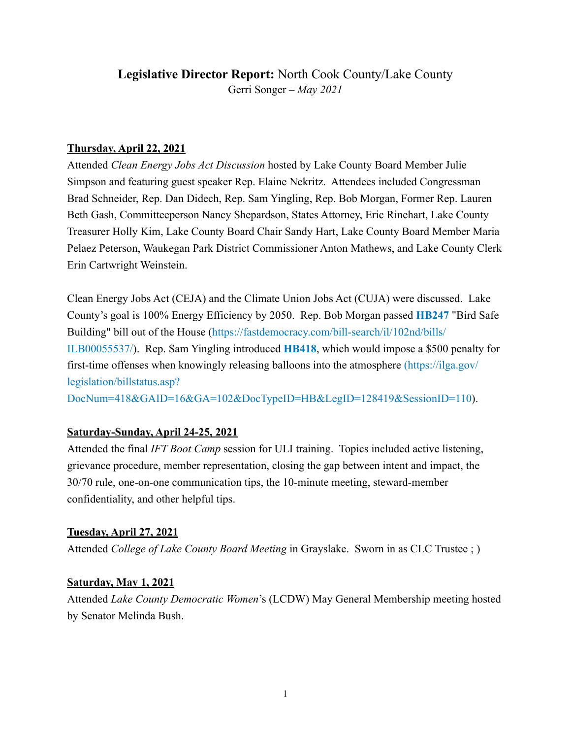# **Legislative Director Report:** North Cook County/Lake County Gerri Songer – *May 2021*

## **Thursday, April 22, 2021**

Attended *Clean Energy Jobs Act Discussion* hosted by Lake County Board Member Julie Simpson and featuring guest speaker Rep. Elaine Nekritz. Attendees included Congressman Brad Schneider, Rep. Dan Didech, Rep. Sam Yingling, Rep. Bob Morgan, Former Rep. Lauren Beth Gash, Committeeperson Nancy Shepardson, States Attorney, Eric Rinehart, Lake County Treasurer Holly Kim, Lake County Board Chair Sandy Hart, Lake County Board Member Maria Pelaez Peterson, Waukegan Park District Commissioner Anton Mathews, and Lake County Clerk Erin Cartwright Weinstein.

Clean Energy Jobs Act (CEJA) and the Climate Union Jobs Act (CUJA) were discussed. Lake County's goal is 100% Energy Efficiency by 2050. Rep. Bob Morgan passed **HB247** "Bird Safe Building" bill out of the House ([https://fastdemocracy.com/bill-search/il/102nd/bills/](https://fastdemocracy.com/bill-search/il/102nd/bills/ILB00055537/) [ILB00055537/\)](https://fastdemocracy.com/bill-search/il/102nd/bills/ILB00055537/). Rep. Sam Yingling introduced **HB418**, which would impose a \$500 penalty for first-time offenses when knowingly releasing balloons into the atmosphere [\(https://ilga.gov/](https://ilga.gov/legislation/billstatus.asp?DocNum=418&GAID=16&GA=102&DocTypeID=HB&LegID=128419&SessionID=110) [legislation/billstatus.asp?](https://ilga.gov/legislation/billstatus.asp?DocNum=418&GAID=16&GA=102&DocTypeID=HB&LegID=128419&SessionID=110)

[DocNum=418&GAID=16&GA=102&DocTypeID=HB&LegID=128419&SessionID=110\)](https://ilga.gov/legislation/billstatus.asp?DocNum=418&GAID=16&GA=102&DocTypeID=HB&LegID=128419&SessionID=110).

## **Saturday-Sunday, April 24-25, 2021**

Attended the final *IFT Boot Camp* session for ULI training. Topics included active listening, grievance procedure, member representation, closing the gap between intent and impact, the 30/70 rule, one-on-one communication tips, the 10-minute meeting, steward-member confidentiality, and other helpful tips.

## **Tuesday, April 27, 2021**

Attended *College of Lake County Board Meeting* in Grayslake. Sworn in as CLC Trustee ; )

## **Saturday, May 1, 2021**

Attended *Lake County Democratic Women*'s (LCDW) May General Membership meeting hosted by Senator Melinda Bush.